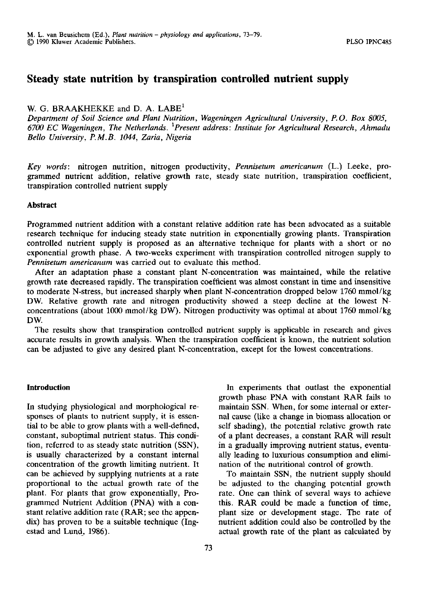# Steady state nutrition by transpiration controlled nutrient supply

## W. G. BRAAKHEKKE and D. A. LABE<sup>1</sup>

*Department of Soil Science and Plant Nutrition, Wageningen Agricultural University, P.O. Box 8005, 6700 EC Wageningen, The Netherlands. Present address: Institute for Agricultural Research, Ahmadu Bello University, P.M.B. 1044, Zaria, Nigeria* 

*Key words:* nitrogen nutrition, nitrogen productivity, *Pennisetum americanum* (L.) Leeke, programmed nutrient addition, relative growth rate, steady state nutrition, transpiration coefficient, transpiration controlled nutrient supply

### **Abstract**

Programmed nutrient addition with a constant relative addition rate has been advocated as a suitable research technique for inducing steady state nutrition in exponentially growing plants. Transpiration controlled nutrient supply is proposed as an alternative technique for plants with a short or no exponential growth phase. A two-weeks experiment with transpiration controlled nitrogen supply to *Pennisetum americanum* was carried out to evaluate this method.

After an adaptation phase a constant plant N-concentration was maintained, while the relative growth rate decreased rapidly. The transpiration coefficient was almost constant in time and insensitive to moderate N-stress, but increased sharply when plant N-concentration dropped below 1760 mmol/kg DW. Relative growth rate and nitrogen productivity showed a steep decline at the lowest Nconcentrations (about 1000 mmol/kg DW). Nitrogen productivity was optimal at about 1760 mmol/kg DW.

The results show that transpiration controlled nutrient supply is applicable in research and gives accurate results in growth analysis. When the transpiration coefficient is known, the nutrient solution can be adjusted to give any desired plant N-concentration, except for the lowest concentrations.

#### **Introduction**

**In** studying physiological and morphological responses of plants to nutrient supply, it is essential to be able to grow plants with a well-defined, constant, suboptimal nutrient status. This condition, referred to as steady state nutrition (SSN), is usually characterized by a constant internal concentration of the growth limiting nutrient. It can be achieved by supplying nutrients at a rate proportional to the actual growth rate of the plant. For plants that grow exponentially, Programmed Nutrient Addition (PNA) with a constant relative addition rate (RAR; see the appendix) has proven to be a suitable technique (Ingestad and Lund, 1986).

In experiments that outlast the exponential growth phase PNA with constant RAR fails to maintain SSN. When, for some internal or external cause (like a change in biomass allocation or self shading), the potential relative growth rate of a plant decreases, a constant RAR will result in a gradually improving nutrient status, eventually leading to luxurious consumption and elimination of the nutritional control of growth.

To maintain SSN, the nutrient supply should be adjusted to the changing potential growth rate. One can think of several ways to achieve this. RAR could be made a function of time, plant size or development stage. The rate of nutrient addition could also be controlled by the actual growth rate of the plant as calculated by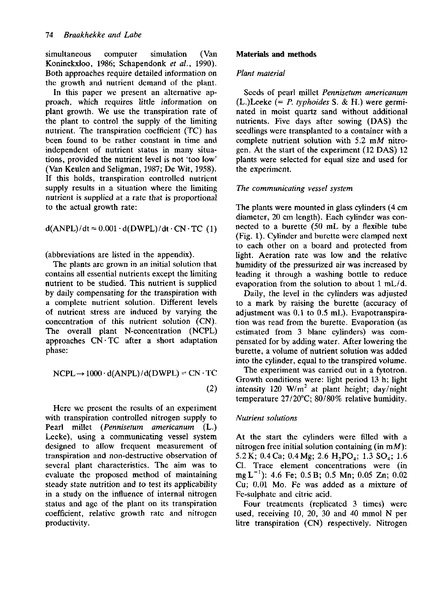simultaneous computer simulation (Van Koninckxloo, 1986; Schapendonk *et al.,* 1990). Both approaches require detailed information on the growth and nutrient demand of the plant.

In this paper we present an alternative approach, which requires little information on plant growth. We use the transpiration rate of the plant to control the supply of the limiting nutrient. The transpiration coefficient (TC) has been found to be rather constant in time and independent of nutrient status in many situations, provided the nutrient level is not 'too low' (Van Keulen and Seligman, 1987; De Wit, 1958). If this holds, transpiration controlled nutrient supply results in a situation where the limiting nutrient is supplied at a rate that is proportional to the actual growth rate:

 $d(ANPL)/dt = 0.001 \cdot d(DWPL)/dt \cdot CN \cdot TC$  (1)

(abbreviations are listed in the appendix).

The plants are grown in an initial solution that contains all essential nutrients except the limiting nutrient to be studied. This nutrient is supplied by daily compensating for the transpiration with a complete nutrient solution. Different levels of nutrient stress are induced by varying the concentration of this nutrient solution (CN). The overall plant N-concentration (NCPL) approaches  $CN \cdot TC$  after a short adaptation phase:

$$
NCPU \rightarrow 1000 \cdot d(ANPL)/d(DWPL) = CN \cdot TC
$$
\n(2)

Here we present the results of an experiment with transpiration controlled nitrogen supply to Pearl millet *{Pennisetum americanum* (L.) Leeke), using a communicating vessel system designed to allow frequent measurement of transpiration and non-destructive observation of several plant characteristics. The aim was to evaluate the proposed method of maintaining steady state nutrition and to test its applicability in a study on the influence of internal nitrogen status and age of the plant on its transpiration coefficient, relative growth rate and nitrogen productivity.

## **Materials and methods**

## *Plant material*

Seeds of pearl millet *Pennisetum americanum*  (L.)Leeke (= *P. typhoides* S. & H.) were germinated in moist quartz sand without additional nutrients. Five days after sowing (DAS) the seedlings were transplanted to a container with a complete nutrient solution with  $5.2 \text{ mM}$  nitrogen. At the start of the experiment (12 DAS) 12 plants were selected for equal size and used for the experiment.

# *The communicating vessel system*

The plants were mounted in glass cylinders (4 cm diameter, 20 cm length). Each cylinder was connected to a burette (50 mL by a flexible tube (Fig. 1). Cylinder and burette were clamped next to each other on a board and protected from light. Aeration rate was low and the relative humidity of the pressurized air was increased by leading it through a washing bottle to reduce evaporation from the solution to about 1 mL/d.

Daily, the level in the cylinders was adjusted to a mark by raising the burette (accuracy of adjustment was 0.1 to 0.5 mL). Evapotranspiration was read from the burette. Evaporation (as estimated from 3 blanc cylinders) was compensated for by adding water. After lowering the burette, a volume of nutrient solution was added into the cylinder, equal to the transpired volume.

The experiment was carried out in a fytotron. Growth conditions were: light period 13 h; light intensity 120 W/m<sup>2</sup> at plant height; day/night temperature 27/20°C; 80/80% relative humidity.

## *Nutrient solutions*

At the start the cylinders were filled with a nitrogen free initial solution containing (in  $mM$ ): 5.2 K; 0.4 Ca; 0.4 Mg; 2.6 H<sub>2</sub>PO<sub>4</sub>; 1.3 SO<sub>4</sub>; 1.6 CI. Trace element concentrations were (in mg  $L^{-1}$ ): 4.6 Fe; 0.5 B; 0.5 Mn; 0.05 Zn; Cu; 0.01 Mo. Fe was added as a mixture of Fe-sulphate and citric acid.

Four treatments (replicated 3 times) were used, receiving 10, 20, 30 and 40 mmol N per litre transpiration (CN) respectively. Nitrogen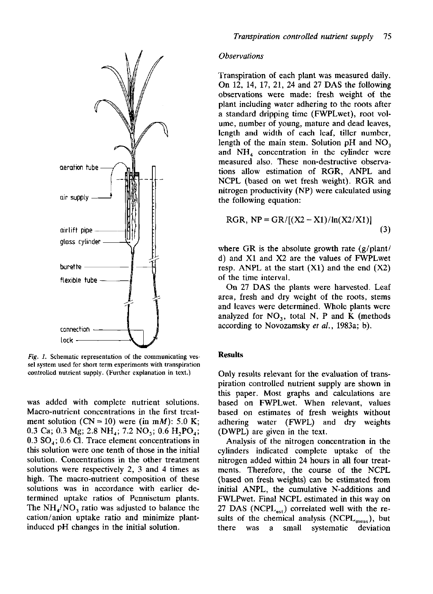

*Fig. 1.* Schematic representation of the communicating vessel system used for short term experiments with transpiration controlled nutrient supply. (Further explanation in text.)

was added with complete nutrient solutions. Macro-nutrient concentrations in the first treatment solution  $(CN = 10)$  were (in m*M*): 5.0 K; 0.3 Ca; 0.3 Mg; 2.8 NH<sub>4</sub>; 7.2 NO<sub>3</sub>; 0.6 H<sub>2</sub>PO<sub>4</sub>;  $0.3$  SO<sub>4</sub>; 0.6 Cl. Trace element concentrations in this solution were one tenth of those in the initial solution. Concentrations in the other treatment solutions were respectively 2, 3 and 4 times as high. The macro-nutrient composition of these solutions was in accordance with earlier determined uptake ratios of Pennisetum plants. The  $NH_{4}/NO_{3}$  ratio was adjusted to balance the cation/anion uptake ratio and minimize plantinduced pH changes in the initial solution.

### *Observations*

Transpiration of each plant was measured daily. On 12, 14, 17, 21, 24 and 27 DAS the following observations were made: fresh weight of the plant including water adhering to the roots after a standard dripping time (FWPLwet), root volume, number of young, mature and dead leaves, length and width of each leaf, tiller number, length of the main stem. Solution  $pH$  and  $NO<sub>3</sub>$ and  $NH<sub>4</sub>$  concentration in the cylinder were measured also. These non-destructive observations allow estimation of RGR, ANPL and NCPL (based on wet fresh weight). RGR and nitrogen productivity (NP) were calculated using the following equation:

RGR, NP = 
$$
GR/[(X2 - X1)/ln(X2/X1)]
$$
 (3)

where GR is the absolute growth rate (g/plant/ d) and XI and X2 are the values of FWPLwet resp. ANPL at the start  $(X1)$  and the end  $(X2)$ of the time interval.

On 27 DAS the plants were harvested. Leaf area, fresh and dry weight of the roots, stems and leaves were determined. Whole plants were analyzed for  $NO<sub>3</sub>$ , total N, P and K (methods according to Novozamsky *et al.,* 1983a; b).

#### **Results**

Only results relevant for the evaluation of transpiration controlled nutrient supply are shown in this paper. Most graphs and calculations are based on FWPLwet. When relevant, values based on estimates of fresh weights without adhering water (FWPL) and dry weights (DWPL) are given in the text.

Analysis of the nitrogen concentration in the cylinders indicated complete uptake of the nitrogen added within 24 hours in all four treatments. Therefore, the course of the NCPL (based on fresh weights) can be estimated from initial ANPL, the cumulative N-additions and FWLPwet. Final NCPL estimated in this way on 27 DAS (NCPL $_{est}$ ) correlated well with the results of the chemical analysis (NCPL $_{meas}$ ), but there was a small systematic deviation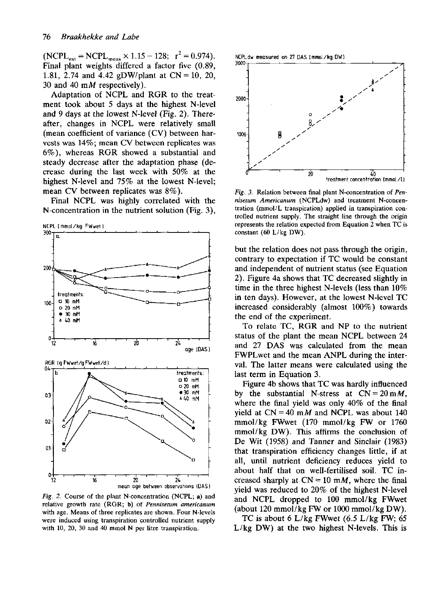$(NCPL<sub>est</sub> = NCPL<sub>meas</sub> × 1.15 - 128; r<sup>2</sup> = 0.$ Final plant weights differed a factor five (0.89, 1.81, 2.74 and 4.42 gDW/plant at  $CN = 10$ , 20, 30 and 40 mM respectively).

Adaptation of NCPL and RGR to the treatment took about 5 days at the highest N-level and 9 days at the lowest N-level (Fig. 2). Thereafter, changes in NCPL were relatively small (mean coefficient of variance (CV) between harvests was 14%; mean CV between replicates was 6%), whereas RGR showed a substantial and steady decrease after the adaptation phase (decrease during the last week with 50% at the highest N-level and 75% at the lowest N-level; mean CV between replicates was 8%).

Final NCPL was highly correlated with the N-concentration in the nutrient solution (Fig. 3),



*Fig. 2.* Course of the plant N-concentration (NCPL; a) and relative growth rate (RGR; b) of *Pennisetum americanum*  with age. Means of three replicates are shown. Four N-levels were induced using transpiration controlled nutrient supply with 10, 20, 30 and 40 mmol N per litre transpiration.



*Fig. 3.* Relation between final plant N-concentration of *Pennisetum Americanum* (NCPLdw) and treatment N-concentration (mmol/L transpiration) applied in transpiration controlled nutrient supply. The straight line through the origin represents the relation expected from Equation 2 when TC is constant (60 L/kg DW).

but the relation does not pass through the origin, contrary to expectation if TC would be constant and independent of nutrient status (see Equation 2). Figure 4a shows that TC decreased slightly in time in the three highest N-levels (less than 10% in ten days). However, at the lowest N-level TC increased considerably (almost 100%) towards the end of the experiment.

To relate TC, RGR and NP to the nutrient status of the plant the mean NCPL between 24 and 27 DAS was calculated from the mean FWPLwet and the mean ANPL during the interval. The latter means were calculated using the last term in Equation 3.

Figure 4b shows that TC was hardly influenced by the substantial N-stress at  $CN = 20 \text{ m}M$ , where the final yield was only 40% of the final yield at  $CN = 40$  mM and NCPL was about 140 mmol/kg FWwet (170 mmol/kg FW or 1760 mmol/kg DW). This affirms the conclusion of De Wit (1958) and Tanner and Sinclair (1983) that transpiration efficiency changes little, if at all, until nutrient deficiency reduces yield to about half that on well-fertilised soil. TC increased sharply at  $CN = 10$  m*M*, where the final yield was reduced to 20% of the highest N-level and NCPL dropped to 100 mmol/kg FWwet (about 120 mmol/kg FW or 1000 mmol/kg DW).

TC is about 6 L/kg FWwet (6.5 L/kg FW; 65 L/kg DW) at the two highest N-levels. This is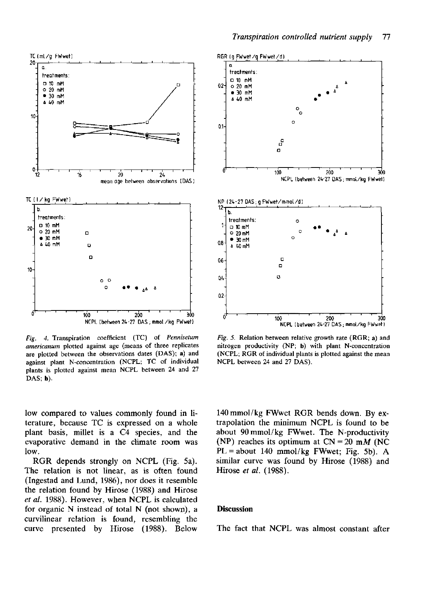

*Fig. 4.* Transpiration coefficient (TC) of *Pennisetum americanum* plotted against age (means of three replicates are plotted between the observations dates (DAS); a) and against plant N-concentration (NCPL; TC of individual plants is plotted against mean NCPL between 24 and 27  $DAS; b$ ).

low compared to values commonly found in literature, because TC is expressed on a whole plant basis, millet is a C4 species, and the evaporative demand in the climate room was low.

RGR depends strongly on NCPL (Fig. 5a). The relation is not linear, as is often found (Ingestad and Lund, 1986), nor does it resemble the relation found by Hirose (1988) and Hirose *et al.* 1988). However, when NCPL is calculated for organic N instead of total N (not shown), a curvilinear relation is found, resembling the curve presented by Hirose (1988). Below



*Fig. 5.* Relation between relative growth rate (RGR; a) and nitrogen productivity (NP; b) with plant N-concentration (NCPL; RGR of individual plants is plotted against the mean NCPL between 24 and 27 DAS).

140 mmol/kg FWwet RGR bends down. By extrapolation the minimum NCPL is found to be about 90 mmol/kg FWwet. The N-productivity (NP) reaches its optimum at  $CN = 20$  mM (NC)  $PL = about 140$  mmol/kg FWwet; Fig. 5b). A similar curve was found by Hirose (1988) and Hirose *et al.* (1988).

#### **Discussion**

The fact that NCPL was almost constant after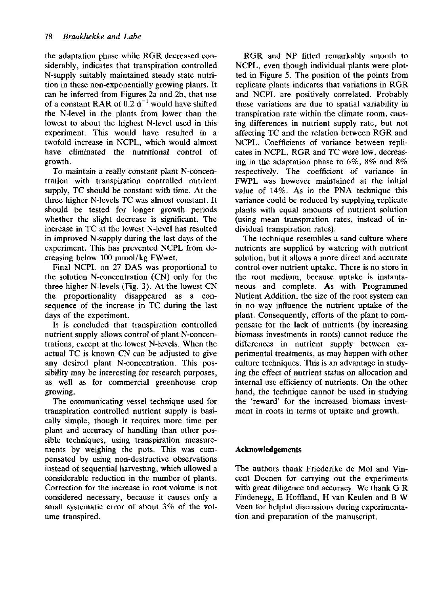the adaptation phase while RGR decreased considerably, indicates that transpiration controlled N-supply suitably maintained steady state nutrition in these non-exponentially growing plants. It can be inferred from Figures 2a and 2b, that use of a constant RAR of  $0.2 d^{-1}$  would have sl the N-level in the plants from lower than the lowest to about the highest N-level used in this experiment. This would have resulted in a twofold increase in NCPL, which would almost have eliminated the nutritional control of growth.

To maintain a really constant plant N-concentration with transpiration controlled nutrient supply, TC should be constant with time. At the three higher N-levels TC was almost constant. It should be tested for longer growth periods whether the slight decrease is significant. The increase in TC at the lowest N-level has resulted in improved N-supply during the last days of the experiment. This has prevented NCPL from decreasing below 100 mmol/kg FWwet.

Final NCPL on 27 DAS was proportional to the solution N-concentration (CN) only for the three higher N-levels (Fig. 3). At the lowest CN the proportionality disappeared as a consequence of the increase in TC during the last days of the experiment.

It is concluded that transpiration controlled nutrient supply allows control of plant N-concentrations, except at the lowest N-levels. When the actual TC is known CN can be adjusted to give any desired plant N-concentration. This possibility may be interesting for research purposes, as well as for commercial greenhouse crop growing.

The communicating vessel technique used for transpiration controlled nutrient supply is basically simple, though it requires more time per plant and accuracy of handling than other possible techniques, using transpiration measurements by weighing the pots. This was compensated by using non-destructive observations instead of sequential harvesting, which allowed a considerable reduction in the number of plants. Correction for the increase in root volume is not considered necessary, because it causes only a small systematic error of about 3% of the volume transpired.

RGR and NP fitted remarkably smooth to NCPL, even though individual plants were plotted in Figure 5. The position of the points from replicate plants indicates that variations in RGR and NCPL are positively correlated. Probably these variations are due to spatial variability in transpiration rate within the climate room, causing differences in nutrient supply rate, but not affecting TC and the relation between RGR and NCPL. Coefficients of variance between replicates in NCPL, RGR and TC were low, decreasing in the adaptation phase to 6%, 8% and 8% respectively. The coefficient of variance in FWPL was however maintained at the initial value of 14%. As in the PNA technique this variance could be reduced by supplying replicate plants with equal amounts of nutrient solution (using mean transpiration rates, instead of individual transpiration rates).

The technique resembles a sand culture where nutrients are supplied by watering with nutrient solution, but it allows a more direct and accurate control over nutrient uptake. There is no store in the root medium, because uptake is instantaneous and complete. As with Programmed Nutient Addition, the size of the root system can in no way influence the nutrient uptake of the plant. Consequently, efforts of the plant to compensate for the lack of nutrients (by increasing biomass investments in roots) cannot reduce the differences in nutrient supply between experimental treatments, as may happen with other culture techniques. This is an advantage in studying the effect of nutrient status on allocation and internal use efficiency of nutrients. On the other hand, the technique cannot be used in studying the 'reward' for the increased biomass investment in roots in terms of uptake and growth.

### **Acknowledgements**

The authors thank Friederike de Mol and Vincent Deenen for carrying out the experiments with great diligence and accuracy. We thank G R Findenegg, E Hoffland, H van Keulen and B W Veen for helpful discussions during experimentation and preparation of the manuscript.